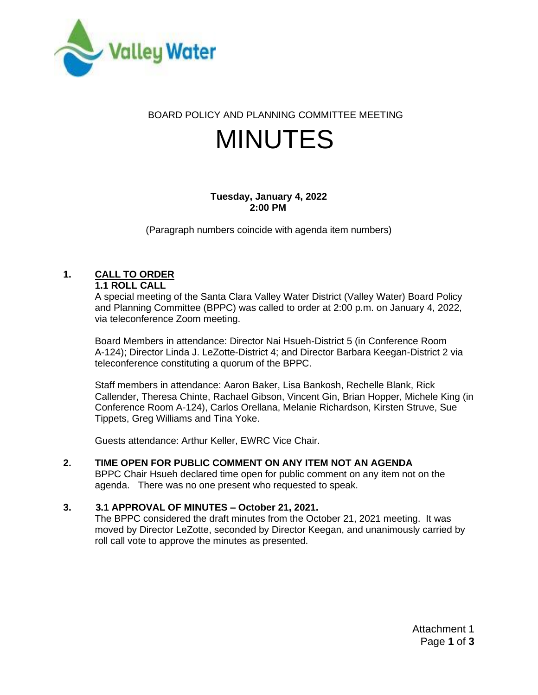

BOARD POLICY AND PLANNING COMMITTEE MEETING

# MINUTES

## **Tuesday, January 4, 2022 2:00 PM**

(Paragraph numbers coincide with agenda item numbers)

# **1. CALL TO ORDER**

## **1.1 ROLL CALL**

A special meeting of the Santa Clara Valley Water District (Valley Water) Board Policy and Planning Committee (BPPC) was called to order at 2:00 p.m. on January 4, 2022, via teleconference Zoom meeting.

Board Members in attendance: Director Nai Hsueh-District 5 (in Conference Room A-124); Director Linda J. LeZotte-District 4; and Director Barbara Keegan-District 2 via teleconference constituting a quorum of the BPPC.

Staff members in attendance: Aaron Baker, Lisa Bankosh, Rechelle Blank, Rick Callender, Theresa Chinte, Rachael Gibson, Vincent Gin, Brian Hopper, Michele King (in Conference Room A-124), Carlos Orellana, Melanie Richardson, Kirsten Struve, Sue Tippets, Greg Williams and Tina Yoke.

Guests attendance: Arthur Keller, EWRC Vice Chair.

# **2. TIME OPEN FOR PUBLIC COMMENT ON ANY ITEM NOT AN AGENDA**

BPPC Chair Hsueh declared time open for public comment on any item not on the agenda. There was no one present who requested to speak.

# **3. 3.1 APPROVAL OF MINUTES – October 21, 2021.**

The BPPC considered the draft minutes from the October 21, 2021 meeting. It was moved by Director LeZotte, seconded by Director Keegan, and unanimously carried by roll call vote to approve the minutes as presented.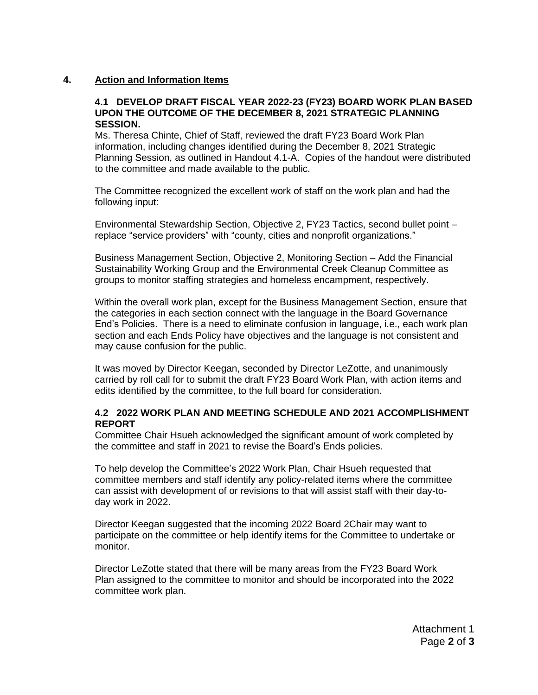#### **4. Action and Information Items**

#### **4.1 DEVELOP DRAFT FISCAL YEAR 2022-23 (FY23) BOARD WORK PLAN BASED UPON THE OUTCOME OF THE DECEMBER 8, 2021 STRATEGIC PLANNING SESSION.**

Ms. Theresa Chinte, Chief of Staff, reviewed the draft FY23 Board Work Plan information, including changes identified during the December 8, 2021 Strategic Planning Session, as outlined in Handout 4.1-A. Copies of the handout were distributed to the committee and made available to the public.

The Committee recognized the excellent work of staff on the work plan and had the following input:

Environmental Stewardship Section, Objective 2, FY23 Tactics, second bullet point – replace "service providers" with "county, cities and nonprofit organizations."

Business Management Section, Objective 2, Monitoring Section – Add the Financial Sustainability Working Group and the Environmental Creek Cleanup Committee as groups to monitor staffing strategies and homeless encampment, respectively.

Within the overall work plan, except for the Business Management Section, ensure that the categories in each section connect with the language in the Board Governance End's Policies. There is a need to eliminate confusion in language, i.e., each work plan section and each Ends Policy have objectives and the language is not consistent and may cause confusion for the public.

It was moved by Director Keegan, seconded by Director LeZotte, and unanimously carried by roll call for to submit the draft FY23 Board Work Plan, with action items and edits identified by the committee, to the full board for consideration.

#### **4.2 2022 WORK PLAN AND MEETING SCHEDULE AND 2021 ACCOMPLISHMENT REPORT**

Committee Chair Hsueh acknowledged the significant amount of work completed by the committee and staff in 2021 to revise the Board's Ends policies.

To help develop the Committee's 2022 Work Plan, Chair Hsueh requested that committee members and staff identify any policy-related items where the committee can assist with development of or revisions to that will assist staff with their day-today work in 2022.

Director Keegan suggested that the incoming 2022 Board 2Chair may want to participate on the committee or help identify items for the Committee to undertake or monitor.

Director LeZotte stated that there will be many areas from the FY23 Board Work Plan assigned to the committee to monitor and should be incorporated into the 2022 committee work plan.